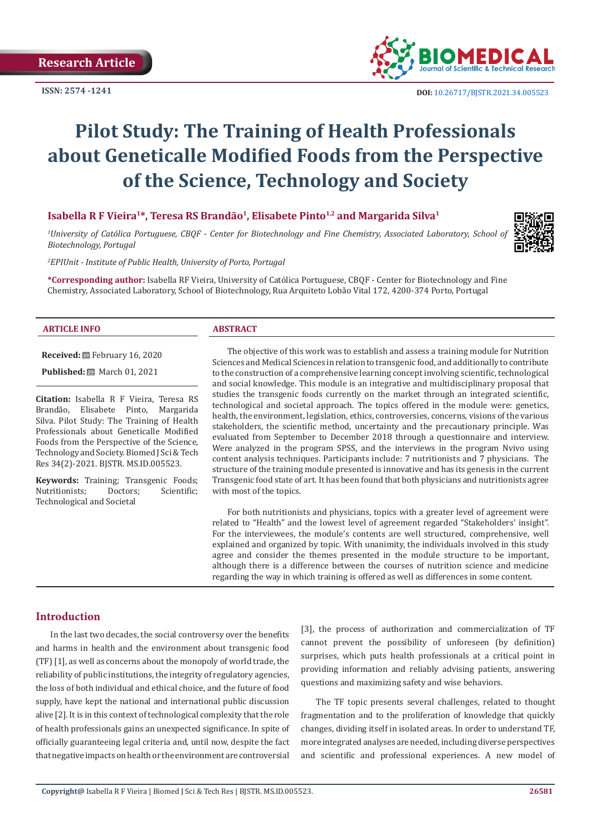**Research Article** 

**ISSN: 2574 -1241**



 **DOI:** [10.26717/BJSTR.2021.34.0055](http://dx.doi.org/10.26717/BJSTR.2021.34.005523)23

# **Pilot Study: The Training of Health Professionals about Geneticalle Modified Foods from the Perspective of the Science, Technology and Society**

# **Isabella R F Vieira<sup>1\*</sup>, Teresa RS Brandão<sup>1</sup>, Elisabete Pinto<sup>1,2</sup> and Margarida Silva<sup>1</sup>**

*1 University of Católica Portuguese, CBQF - Center for Biotechnology and Fine Chemistry, Associated Laboratory, School of Biotechnology, Portugal*

*2 EPIUnit - Institute of Public Health, University of Porto, Portugal*

**\*Corresponding author:** Isabella RF Vieira, University of Católica Portuguese, CBQF - Center for Biotechnology and Fine Chemistry, Associated Laboratory, School of Biotechnology, Rua Arquiteto Lobão Vital 172, 4200-374 Porto, Portugal

#### **ARTICLE INFO ABSTRACT**

**Received:** February 16, 2020

**Published:** ■ March 01, 2021

**Citation:** Isabella R F Vieira, Teresa RS Brandão, Elisabete Pinto, Margarida Silva. Pilot Study: The Training of Health Professionals about Geneticalle Modified Foods from the Perspective of the Science, Technology and Society. Biomed J Sci & Tech Res 34(2)-2021. BJSTR. MS.ID.005523.

**Keywords:** Training; Transgenic Foods;<br>Nutritionists: Doctors: Scientific: Nutritionists: Technological and Societal

The objective of this work was to establish and assess a training module for Nutrition Sciences and Medical Sciences in relation to transgenic food, and additionally to contribute to the construction of a comprehensive learning concept involving scientific, technological and social knowledge. This module is an integrative and multidisciplinary proposal that studies the transgenic foods currently on the market through an integrated scientific, technological and societal approach. The topics offered in the module were: genetics, health, the environment, legislation, ethics, controversies, concerns, visions of the various stakeholders, the scientific method, uncertainty and the precautionary principle. Was evaluated from September to December 2018 through a questionnaire and interview. Were analyzed in the program SPSS, and the interviews in the program Nvivo using content analysis techniques. Participants include: 7 nutritionists and 7 physicians. The structure of the training module presented is innovative and has its genesis in the current Transgenic food state of art. It has been found that both physicians and nutritionists agree with most of the topics.

For both nutritionists and physicians, topics with a greater level of agreement were related to "Health" and the lowest level of agreement regarded "Stakeholders' insight". For the interviewees, the module's contents are well structured, comprehensive, well explained and organized by topic. With unanimity, the individuals involved in this study agree and consider the themes presented in the module structure to be important, although there is a difference between the courses of nutrition science and medicine regarding the way in which training is offered as well as differences in some content.

# **Introduction**

In the last two decades, the social controversy over the benefits and harms in health and the environment about transgenic food (TF) [1], as well as concerns about the monopoly of world trade, the reliability of public institutions, the integrity of regulatory agencies, the loss of both individual and ethical choice, and the future of food supply, have kept the national and international public discussion alive [2]. It is in this context of technological complexity that the role of health professionals gains an unexpected significance. In spite of officially guaranteeing legal criteria and, until now, despite the fact that negative impacts on health or the environment are controversial

[3], the process of authorization and commercialization of TF cannot prevent the possibility of unforeseen (by definition) surprises, which puts health professionals at a critical point in providing information and reliably advising patients, answering questions and maximizing safety and wise behaviors.

The TF topic presents several challenges, related to thought fragmentation and to the proliferation of knowledge that quickly changes, dividing itself in isolated areas. In order to understand TF, more integrated analyses are needed, including diverse perspectives and scientific and professional experiences. A new model of

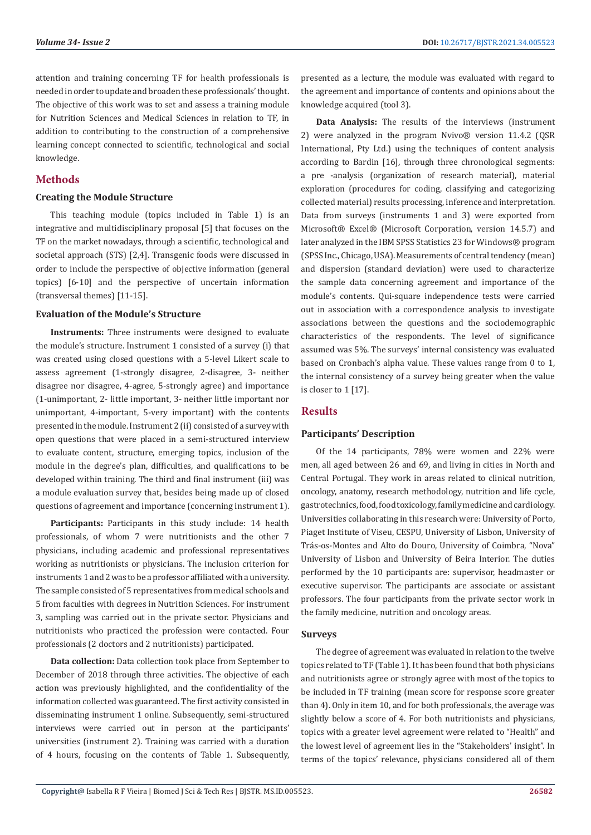attention and training concerning TF for health professionals is needed in order to update and broaden these professionals' thought. The objective of this work was to set and assess a training module for Nutrition Sciences and Medical Sciences in relation to TF, in addition to contributing to the construction of a comprehensive learning concept connected to scientific, technological and social knowledge.

# **Methods**

#### **Creating the Module Structure**

This teaching module (topics included in Table 1) is an integrative and multidisciplinary proposal [5] that focuses on the TF on the market nowadays, through a scientific, technological and societal approach (STS) [2,4]. Transgenic foods were discussed in order to include the perspective of objective information (general topics) [6-10] and the perspective of uncertain information (transversal themes) [11-15].

#### **Evaluation of the Module's Structure**

**Instruments:** Three instruments were designed to evaluate the module's structure. Instrument 1 consisted of a survey (i) that was created using closed questions with a 5-level Likert scale to assess agreement (1-strongly disagree, 2-disagree, 3- neither disagree nor disagree, 4-agree, 5-strongly agree) and importance (1-unimportant, 2- little important, 3- neither little important nor unimportant, 4-important, 5-very important) with the contents presented in the module. Instrument 2 (ii) consisted of a survey with open questions that were placed in a semi-structured interview to evaluate content, structure, emerging topics, inclusion of the module in the degree's plan, difficulties, and qualifications to be developed within training. The third and final instrument (iii) was a module evaluation survey that, besides being made up of closed questions of agreement and importance (concerning instrument 1).

**Participants:** Participants in this study include: 14 health professionals, of whom 7 were nutritionists and the other 7 physicians, including academic and professional representatives working as nutritionists or physicians. The inclusion criterion for instruments 1 and 2 was to be a professor affiliated with a university. The sample consisted of 5 representatives from medical schools and 5 from faculties with degrees in Nutrition Sciences. For instrument 3, sampling was carried out in the private sector. Physicians and nutritionists who practiced the profession were contacted. Four professionals (2 doctors and 2 nutritionists) participated.

**Data collection:** Data collection took place from September to December of 2018 through three activities. The objective of each action was previously highlighted, and the confidentiality of the information collected was guaranteed. The first activity consisted in disseminating instrument 1 online. Subsequently, semi-structured interviews were carried out in person at the participants' universities (instrument 2). Training was carried with a duration of 4 hours, focusing on the contents of Table 1. Subsequently,

presented as a lecture, the module was evaluated with regard to the agreement and importance of contents and opinions about the knowledge acquired (tool 3).

**Data Analysis:** The results of the interviews (instrument 2) were analyzed in the program Nvivo® version 11.4.2 (QSR International, Pty Ltd.) using the techniques of content analysis according to Bardin [16], through three chronological segments: a pre -analysis (organization of research material), material exploration (procedures for coding, classifying and categorizing collected material) results processing, inference and interpretation. Data from surveys (instruments 1 and 3) were exported from Microsoft® Excel® (Microsoft Corporation, version 14.5.7) and later analyzed in the IBM SPSS Statistics 23 for Windows® program (SPSS Inc., Chicago, USA). Measurements of central tendency (mean) and dispersion (standard deviation) were used to characterize the sample data concerning agreement and importance of the module's contents. Qui-square independence tests were carried out in association with a correspondence analysis to investigate associations between the questions and the sociodemographic characteristics of the respondents. The level of significance assumed was 5%. The surveys' internal consistency was evaluated based on Cronbach's alpha value. These values range from 0 to 1, the internal consistency of a survey being greater when the value is closer to 1 [17].

# **Results**

#### **Participants' Description**

Of the 14 participants, 78% were women and 22% were men, all aged between 26 and 69, and living in cities in North and Central Portugal. They work in areas related to clinical nutrition, oncology, anatomy, research methodology, nutrition and life cycle, gastrotechnics, food, food toxicology, family medicine and cardiology. Universities collaborating in this research were: University of Porto, Piaget Institute of Viseu, CESPU, University of Lisbon, University of Trás-os-Montes and Alto do Douro, University of Coimbra, "Nova" University of Lisbon and University of Beira Interior. The duties performed by the 10 participants are: supervisor, headmaster or executive supervisor. The participants are associate or assistant professors. The four participants from the private sector work in the family medicine, nutrition and oncology areas.

#### **Surveys**

The degree of agreement was evaluated in relation to the twelve topics related to TF (Table 1). It has been found that both physicians and nutritionists agree or strongly agree with most of the topics to be included in TF training (mean score for response score greater than 4). Only in item 10, and for both professionals, the average was slightly below a score of 4. For both nutritionists and physicians, topics with a greater level agreement were related to "Health" and the lowest level of agreement lies in the "Stakeholders' insight". In terms of the topics' relevance, physicians considered all of them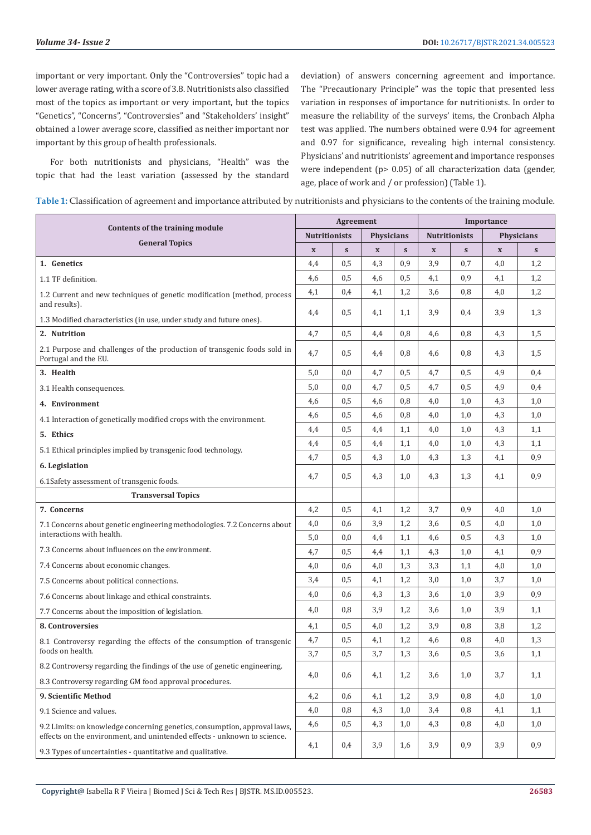important or very important. Only the "Controversies" topic had a lower average rating, with a score of 3.8. Nutritionists also classified most of the topics as important or very important, but the topics "Genetics", "Concerns", "Controversies" and "Stakeholders' insight" obtained a lower average score, classified as neither important nor important by this group of health professionals.

For both nutritionists and physicians, "Health" was the topic that had the least variation (assessed by the standard

deviation) of answers concerning agreement and importance. The "Precautionary Principle" was the topic that presented less variation in responses of importance for nutritionists. In order to measure the reliability of the surveys' items, the Cronbach Alpha test was applied. The numbers obtained were 0.94 for agreement and 0.97 for significance, revealing high internal consistency. Physicians' and nutritionists' agreement and importance responses were independent (p> 0.05) of all characterization data (gender, age, place of work and / or profession) (Table 1).

| Table 1: Classification of agreement and importance attributed by nutritionists and physicians to the contents of the training module. |  |  |
|----------------------------------------------------------------------------------------------------------------------------------------|--|--|
|----------------------------------------------------------------------------------------------------------------------------------------|--|--|

| Contents of the training module                                                                                                        |             | Agreement            |             |                   |              | Importance           |             |                   |  |
|----------------------------------------------------------------------------------------------------------------------------------------|-------------|----------------------|-------------|-------------------|--------------|----------------------|-------------|-------------------|--|
|                                                                                                                                        |             | <b>Nutritionists</b> |             | <b>Physicians</b> |              | <b>Nutritionists</b> |             | <b>Physicians</b> |  |
| <b>General Topics</b>                                                                                                                  | $\mathbf x$ | S                    | $\mathbf X$ | ${\bf S}$         | $\mathbf{x}$ | S                    | $\mathbf X$ | S                 |  |
| 1. Genetics                                                                                                                            | 4,4         | 0,5                  | 4,3         | 0,9               | 3,9          | 0,7                  | 4,0         | 1,2               |  |
| 1.1 TF definition.                                                                                                                     | 4,6         | 0,5                  | 4,6         | 0,5               | 4,1          | 0,9                  | 4,1         | 1,2               |  |
| 1.2 Current and new techniques of genetic modification (method, process                                                                | 4,1         | 0,4                  | 4,1         | 1,2               | 3,6          | 0,8                  | 4,0         | 1,2               |  |
| and results).                                                                                                                          |             | 0,5                  | 4,1         | 1,1               | 3,9          | 0,4                  | 3,9         | 1,3               |  |
| 1.3 Modified characteristics (in use, under study and future ones).                                                                    | 4,4         |                      |             |                   |              |                      |             |                   |  |
| 2. Nutrition                                                                                                                           | 4,7         | 0,5                  | 4,4         | 0,8               | 4,6          | 0,8                  | 4,3         | 1,5               |  |
| 2.1 Purpose and challenges of the production of transgenic foods sold in<br>Portugal and the EU.                                       | 4,7         | 0,5                  | 4,4         | 0,8               | 4,6          | 0,8                  | 4,3         | 1,5               |  |
| 3. Health                                                                                                                              | 5,0         | 0,0                  | 4,7         | 0,5               | 4,7          | 0,5                  | 4,9         | 0,4               |  |
| 3.1 Health consequences.                                                                                                               | 5,0         | 0,0                  | 4,7         | 0,5               | 4,7          | 0,5                  | 4,9         | 0,4               |  |
| 4. Environment                                                                                                                         | 4,6         | 0,5                  | 4,6         | 0,8               | 4,0          | 1,0                  | 4,3         | 1,0               |  |
| 4.1 Interaction of genetically modified crops with the environment.                                                                    | 4,6         | 0,5                  | 4,6         | 0,8               | 4,0          | 1,0                  | 4,3         | 1,0               |  |
| 5. Ethics                                                                                                                              | 4,4         | 0,5                  | 4,4         | 1,1               | 4,0          | 1,0                  | 4,3         | 1,1               |  |
| 5.1 Ethical principles implied by transgenic food technology.                                                                          | 4,4         | 0,5                  | 4,4         | 1,1               | 4,0          | 1,0                  | 4,3         | 1,1               |  |
| 6. Legislation                                                                                                                         | 4,7         | 0,5                  | 4,3         | 1,0               | 4,3          | 1,3                  | 4,1         | 0,9               |  |
| 6.1Safety assessment of transgenic foods.                                                                                              | 4,7         | 0,5                  | 4,3         | 1,0               | 4,3          | 1,3                  | 4,1         | 0,9               |  |
| <b>Transversal Topics</b>                                                                                                              |             |                      |             |                   |              |                      |             |                   |  |
| 7. Concerns                                                                                                                            | 4,2         | 0,5                  | 4,1         | 1,2               | 3,7          | 0,9                  | 4,0         | 1,0               |  |
| 7.1 Concerns about genetic engineering methodologies. 7.2 Concerns about                                                               | 4,0         | 0,6                  | 3,9         | 1,2               | 3,6          | 0,5                  | 4,0         | 1,0               |  |
| interactions with health.                                                                                                              | 5,0         | 0,0                  | 4,4         | 1,1               | 4,6          | 0,5                  | 4,3         | 1,0               |  |
| 7.3 Concerns about influences on the environment.                                                                                      | 4,7         | 0,5                  | 4,4         | 1,1               | 4,3          | 1,0                  | 4,1         | 0,9               |  |
| 7.4 Concerns about economic changes.                                                                                                   | 4,0         | 0,6                  | 4,0         | 1,3               | 3,3          | 1,1                  | 4,0         | 1,0               |  |
| 7.5 Concerns about political connections.                                                                                              | 3,4         | 0,5                  | 4,1         | 1,2               | 3,0          | 1,0                  | 3,7         | 1,0               |  |
| 7.6 Concerns about linkage and ethical constraints.                                                                                    | 4,0         | 0,6                  | 4,3         | 1,3               | 3,6          | 1,0                  | 3,9         | 0,9               |  |
| 7.7 Concerns about the imposition of legislation.                                                                                      | 4,0         | 0,8                  | 3,9         | 1,2               | 3,6          | 1,0                  | 3,9         | 1,1               |  |
| 8. Controversies                                                                                                                       | 4,1         | 0,5                  | 4,0         | 1,2               | 3,9          | 0,8                  | 3,8         | 1,2               |  |
| 8.1 Controversy regarding the effects of the consumption of transgenic                                                                 | 4,7         | 0,5                  | 4,1         | 1,2               | 4,6          | 0,8                  | 4,0         | 1,3               |  |
| foods on health.                                                                                                                       | 3,7         | 0,5                  | 3,7         | 1,3               | 3,6          | 0,5                  | 3,6         | 1,1               |  |
| 8.2 Controversy regarding the findings of the use of genetic engineering.                                                              | 4,0         |                      |             |                   |              |                      |             |                   |  |
| 8.3 Controversy regarding GM food approval procedures.                                                                                 |             | 0,6                  | 4,1         | 1,2               | 3,6          | 1,0                  | 3,7         | 1,1               |  |
| 9. Scientific Method                                                                                                                   | 4,2         | 0,6                  | 4,1         | 1,2               | 3,9          | 0,8                  | 4,0         | 1,0               |  |
| 9.1 Science and values.                                                                                                                | 4,0         | 0,8                  | 4,3         | 1,0               | 3,4          | 0,8                  | 4,1         | 1,1               |  |
| 9.2 Limits: on knowledge concerning genetics, consumption, approval laws,                                                              | 4,6         | 0,5                  | 4,3         | 1,0               | 4,3          | 0,8                  | 4,0         | 1,0               |  |
| effects on the environment, and unintended effects - unknown to science.<br>9.3 Types of uncertainties - quantitative and qualitative. | 4,1         | 0,4                  | 3,9         | 1,6               | 3,9          | 0,9                  | 3,9         | 0,9               |  |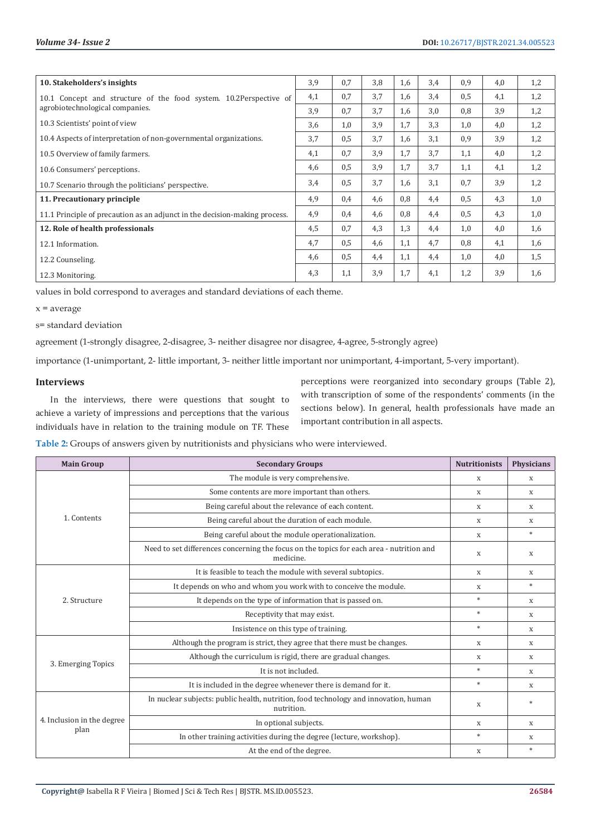| 10. Stakeholders's insights                                                                           | 3,9 | 0,7 | 3,8 | 1,6 | 3,4 | 0,9 | 4,0 | 1,2 |
|-------------------------------------------------------------------------------------------------------|-----|-----|-----|-----|-----|-----|-----|-----|
| 10.1 Concept and structure of the food system. 10.2 Perspective of<br>agrobiotechnological companies. |     | 0,7 | 3.7 | 1,6 | 3,4 | 0,5 | 4,1 | 1,2 |
|                                                                                                       |     | 0,7 | 3.7 | 1,6 | 3,0 | 0,8 | 3,9 | 1,2 |
| 10.3 Scientists' point of view                                                                        |     | 1,0 | 3,9 | 1.7 | 3,3 | 1,0 | 4,0 | 1,2 |
| 10.4 Aspects of interpretation of non-governmental organizations.                                     |     | 0,5 | 3.7 | 1,6 | 3,1 | 0,9 | 3,9 | 1,2 |
| 10.5 Overview of family farmers.                                                                      |     | 0,7 | 3,9 | 1,7 | 3.7 | 1,1 | 4,0 | 1,2 |
| 10.6 Consumers' perceptions.                                                                          |     | 0,5 | 3,9 | 1,7 | 3.7 | 1,1 | 4,1 | 1,2 |
| 10.7 Scenario through the politicians' perspective.                                                   |     | 0,5 | 3,7 | 1,6 | 3.1 | 0.7 | 3,9 | 1,2 |
| 11. Precautionary principle                                                                           | 4,9 | 0,4 | 4,6 | 0,8 | 4,4 | 0,5 | 4,3 | 1,0 |
| 11.1 Principle of precaution as an adjunct in the decision-making process.                            | 4,9 | 0,4 | 4,6 | 0.8 | 4,4 | 0,5 | 4,3 | 1,0 |
| 12. Role of health professionals                                                                      |     | 0,7 | 4,3 | 1,3 | 4,4 | 1,0 | 4,0 | 1,6 |
| 12.1 Information.                                                                                     | 4,7 | 0,5 | 4,6 | 1,1 | 4.7 | 0,8 | 4,1 | 1,6 |
| 12.2 Counseling.                                                                                      | 4,6 | 0,5 | 4,4 | 1,1 | 4,4 | 1,0 | 4,0 | 1,5 |
| 12.3 Monitoring.                                                                                      | 4,3 | 1,1 | 3,9 | 1,7 | 4,1 | 1,2 | 3,9 | 1,6 |

values in bold correspond to averages and standard deviations of each theme.

 $x = average$ 

s= standard deviation

agreement (1-strongly disagree, 2-disagree, 3- neither disagree nor disagree, 4-agree, 5-strongly agree)

importance (1-unimportant, 2- little important, 3- neither little important nor unimportant, 4-important, 5-very important).

#### **Interviews**

In the interviews, there were questions that sought to achieve a variety of impressions and perceptions that the various individuals have in relation to the training module on TF. These

perceptions were reorganized into secondary groups (Table 2), with transcription of some of the respondents' comments (in the sections below). In general, health professionals have made an important contribution in all aspects.

**Table 2:** Groups of answers given by nutritionists and physicians who were interviewed.

| <b>Main Group</b>                  | <b>Secondary Groups</b>                                                                               | <b>Nutritionists</b> | <b>Physicians</b> |
|------------------------------------|-------------------------------------------------------------------------------------------------------|----------------------|-------------------|
|                                    | The module is very comprehensive.                                                                     | X                    | X                 |
| 1. Contents                        | Some contents are more important than others.                                                         | X                    | X                 |
|                                    | Being careful about the relevance of each content.                                                    | X                    | $\mathbf x$       |
|                                    | Being careful about the duration of each module.                                                      | X                    | X                 |
|                                    | Being careful about the module operationalization.                                                    | X                    | $\ast$            |
|                                    | Need to set differences concerning the focus on the topics for each area - nutrition and<br>medicine. | X                    | X                 |
| 2. Structure                       | It is feasible to teach the module with several subtopics.                                            | X                    | $\mathbf x$       |
|                                    | It depends on who and whom you work with to conceive the module.                                      | X                    | $*$               |
|                                    | It depends on the type of information that is passed on.                                              | $\frac{1}{2}$        | $\mathbf x$       |
|                                    | Receptivity that may exist.                                                                           | $*$                  | X                 |
|                                    | Insistence on this type of training.                                                                  | $*$                  | X                 |
| 3. Emerging Topics                 | Although the program is strict, they agree that there must be changes.                                | X                    | X                 |
|                                    | Although the curriculum is rigid, there are gradual changes.                                          | X                    | $\mathbf x$       |
|                                    | It is not included.                                                                                   | $\ast$               | X                 |
|                                    | It is included in the degree whenever there is demand for it.                                         | $\ast$               | $\mathbf x$       |
| 4. Inclusion in the degree<br>plan | In nuclear subjects: public health, nutrition, food technology and innovation, human<br>nutrition.    | X                    | $*$               |
|                                    | In optional subjects.                                                                                 | X                    | X                 |
|                                    | In other training activities during the degree (lecture, workshop).                                   | $\frac{1}{2}$        | X                 |
|                                    | At the end of the degree.                                                                             | X                    | $\ast$            |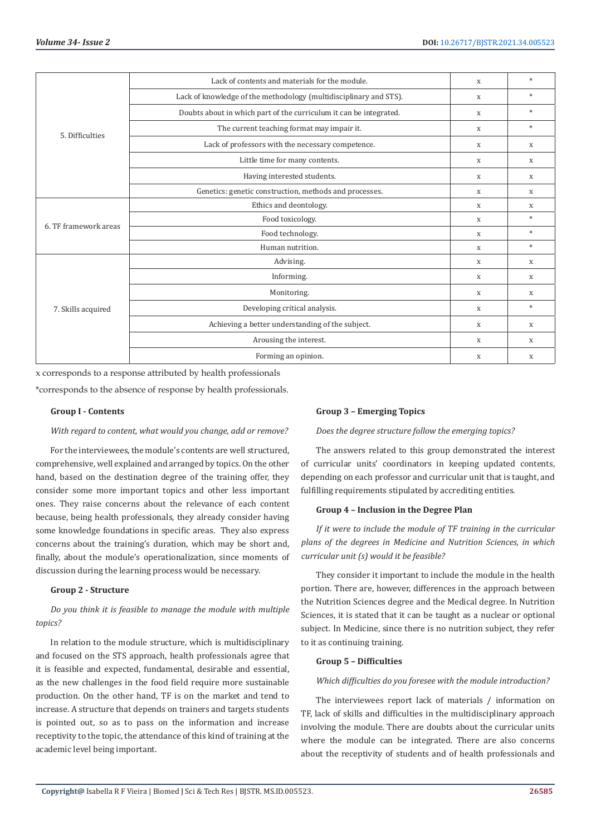|                       | Lack of contents and materials for the module.                     | X | $\ast$                    |
|-----------------------|--------------------------------------------------------------------|---|---------------------------|
| 5. Difficulties       | Lack of knowledge of the methodology (multidisciplinary and STS).  | X | *                         |
|                       | Doubts about in which part of the curriculum it can be integrated. | X | $*$                       |
|                       | The current teaching format may impair it.                         | X | $*$                       |
|                       | Lack of professors with the necessary competence.                  | X | X                         |
|                       | Little time for many contents.                                     | X | X                         |
|                       | Having interested students.                                        | X | X                         |
|                       | Genetics: genetic construction, methods and processes.             | X | X                         |
| 6. TF framework areas | Ethics and deontology.                                             | X | $\boldsymbol{\mathrm{X}}$ |
|                       | Food toxicology.                                                   | X | $*$                       |
|                       | Food technology.                                                   | X | $*$                       |
|                       | Human nutrition.                                                   | X | $\ast$                    |
| 7. Skills acquired    | Advising.                                                          | X | X                         |
|                       | Informing.                                                         | X | X                         |
|                       | Monitoring.                                                        | X | X                         |
|                       | Developing critical analysis.                                      | X | $\ast$                    |
|                       | Achieving a better understanding of the subject.                   | X | X                         |
|                       | Arousing the interest.                                             | X | X                         |
|                       | Forming an opinion.                                                | X | X                         |

x corresponds to a response attributed by health professionals

\*corresponds to the absence of response by health professionals.

#### **Group I - Contents**

*With regard to content, what would you change, add or remove?*

For the interviewees, the module's contents are well structured, comprehensive, well explained and arranged by topics. On the other hand, based on the destination degree of the training offer, they consider some more important topics and other less important ones. They raise concerns about the relevance of each content because, being health professionals, they already consider having some knowledge foundations in specific areas. They also express concerns about the training's duration, which may be short and, finally, about the module's operationalization, since moments of discussion during the learning process would be necessary.

# **Group 2 - Structure**

*Do you think it is feasible to manage the module with multiple topics?*

In relation to the module structure, which is multidisciplinary and focused on the STS approach, health professionals agree that it is feasible and expected, fundamental, desirable and essential, as the new challenges in the food field require more sustainable production. On the other hand, TF is on the market and tend to increase. A structure that depends on trainers and targets students is pointed out, so as to pass on the information and increase receptivity to the topic, the attendance of this kind of training at the academic level being important.

#### **Group 3 – Emerging Topics**

*Does the degree structure follow the emerging topics?*

The answers related to this group demonstrated the interest of curricular units' coordinators in keeping updated contents, depending on each professor and curricular unit that is taught, and fulfilling requirements stipulated by accrediting entities.

#### **Group 4 – Inclusion in the Degree Plan**

*If it were to include the module of TF training in the curricular plans of the degrees in Medicine and Nutrition Sciences, in which curricular unit (s) would it be feasible?*

They consider it important to include the module in the health portion. There are, however, differences in the approach between the Nutrition Sciences degree and the Medical degree. In Nutrition Sciences, it is stated that it can be taught as a nuclear or optional subject. In Medicine, since there is no nutrition subject, they refer to it as continuing training.

#### **Group 5 – Difficulties**

#### *Which difficulties do you foresee with the module introduction?*

The interviewees report lack of materials / information on TF, lack of skills and difficulties in the multidisciplinary approach involving the module. There are doubts about the curricular units where the module can be integrated. There are also concerns about the receptivity of students and of health professionals and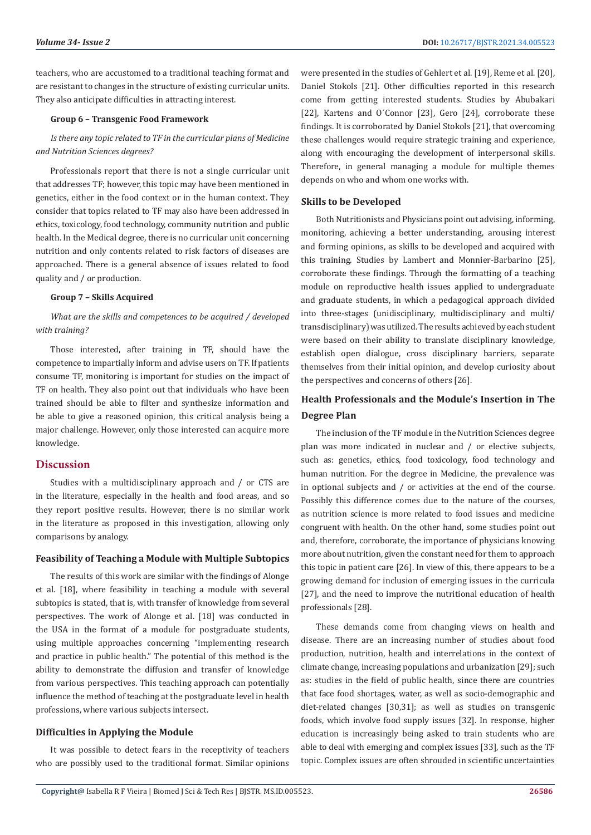teachers, who are accustomed to a traditional teaching format and are resistant to changes in the structure of existing curricular units. They also anticipate difficulties in attracting interest.

#### **Group 6 – Transgenic Food Framework**

# *Is there any topic related to TF in the curricular plans of Medicine and Nutrition Sciences degrees?*

Professionals report that there is not a single curricular unit that addresses TF; however, this topic may have been mentioned in genetics, either in the food context or in the human context. They consider that topics related to TF may also have been addressed in ethics, toxicology, food technology, community nutrition and public health. In the Medical degree, there is no curricular unit concerning nutrition and only contents related to risk factors of diseases are approached. There is a general absence of issues related to food quality and / or production.

#### **Group 7 – Skills Acquired**

*What are the skills and competences to be acquired / developed with training?*

Those interested, after training in TF, should have the competence to impartially inform and advise users on TF. If patients consume TF, monitoring is important for studies on the impact of TF on health. They also point out that individuals who have been trained should be able to filter and synthesize information and be able to give a reasoned opinion, this critical analysis being a major challenge. However, only those interested can acquire more knowledge.

### **Discussion**

Studies with a multidisciplinary approach and / or CTS are in the literature, especially in the health and food areas, and so they report positive results. However, there is no similar work in the literature as proposed in this investigation, allowing only comparisons by analogy.

#### **Feasibility of Teaching a Module with Multiple Subtopics**

The results of this work are similar with the findings of Alonge et al. [18], where feasibility in teaching a module with several subtopics is stated, that is, with transfer of knowledge from several perspectives. The work of Alonge et al. [18] was conducted in the USA in the format of a module for postgraduate students, using multiple approaches concerning "implementing research and practice in public health." The potential of this method is the ability to demonstrate the diffusion and transfer of knowledge from various perspectives. This teaching approach can potentially influence the method of teaching at the postgraduate level in health professions, where various subjects intersect.

# **Difficulties in Applying the Module**

It was possible to detect fears in the receptivity of teachers who are possibly used to the traditional format. Similar opinions were presented in the studies of Gehlert et al. [19], Reme et al. [20], Daniel Stokols [21]. Other difficulties reported in this research come from getting interested students. Studies by Abubakari [22], Kartens and O'Connor [23], Gero [24], corroborate these findings. It is corroborated by Daniel Stokols [21], that overcoming these challenges would require strategic training and experience, along with encouraging the development of interpersonal skills. Therefore, in general managing a module for multiple themes depends on who and whom one works with.

#### **Skills to be Developed**

Both Nutritionists and Physicians point out advising, informing, monitoring, achieving a better understanding, arousing interest and forming opinions, as skills to be developed and acquired with this training. Studies by Lambert and Monnier-Barbarino [25], corroborate these findings. Through the formatting of a teaching module on reproductive health issues applied to undergraduate and graduate students, in which a pedagogical approach divided into three-stages (unidisciplinary, multidisciplinary and multi/ transdisciplinary) was utilized. The results achieved by each student were based on their ability to translate disciplinary knowledge, establish open dialogue, cross disciplinary barriers, separate themselves from their initial opinion, and develop curiosity about the perspectives and concerns of others [26].

# **Health Professionals and the Module's Insertion in The Degree Plan**

The inclusion of the TF module in the Nutrition Sciences degree plan was more indicated in nuclear and / or elective subjects, such as: genetics, ethics, food toxicology, food technology and human nutrition. For the degree in Medicine, the prevalence was in optional subjects and / or activities at the end of the course. Possibly this difference comes due to the nature of the courses, as nutrition science is more related to food issues and medicine congruent with health. On the other hand, some studies point out and, therefore, corroborate, the importance of physicians knowing more about nutrition, given the constant need for them to approach this topic in patient care [26]. In view of this, there appears to be a growing demand for inclusion of emerging issues in the curricula [27], and the need to improve the nutritional education of health professionals [28].

These demands come from changing views on health and disease. There are an increasing number of studies about food production, nutrition, health and interrelations in the context of climate change, increasing populations and urbanization [29]; such as: studies in the field of public health, since there are countries that face food shortages, water, as well as socio-demographic and diet-related changes [30,31]; as well as studies on transgenic foods, which involve food supply issues [32]. In response, higher education is increasingly being asked to train students who are able to deal with emerging and complex issues [33], such as the TF topic. Complex issues are often shrouded in scientific uncertainties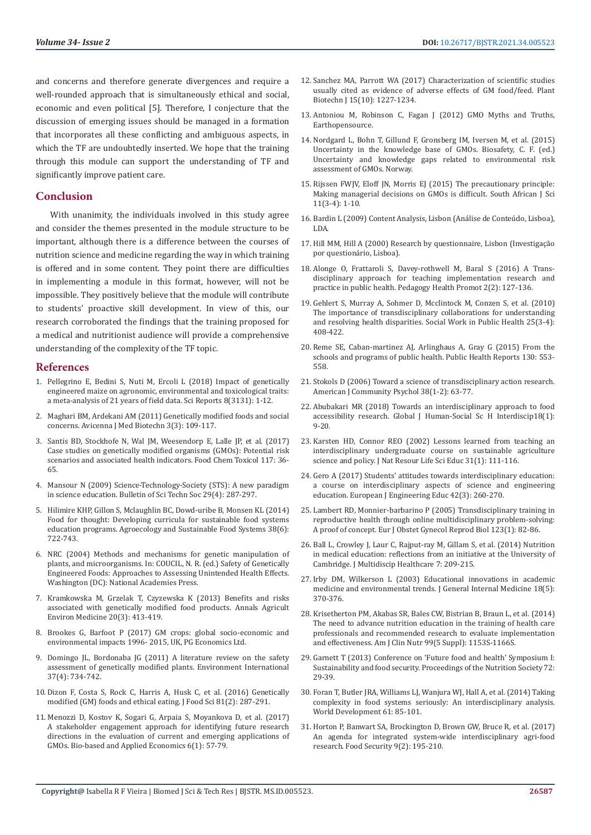and concerns and therefore generate divergences and require a well-rounded approach that is simultaneously ethical and social, economic and even political [5]. Therefore, I conjecture that the discussion of emerging issues should be managed in a formation that incorporates all these conflicting and ambiguous aspects, in which the TF are undoubtedly inserted. We hope that the training through this module can support the understanding of TF and significantly improve patient care.

#### **Conclusion**

With unanimity, the individuals involved in this study agree and consider the themes presented in the module structure to be important, although there is a difference between the courses of nutrition science and medicine regarding the way in which training is offered and in some content. They point there are difficulties in implementing a module in this format, however, will not be impossible. They positively believe that the module will contribute to students' proactive skill development. In view of this, our research corroborated the findings that the training proposed for a medical and nutritionist audience will provide a comprehensive understanding of the complexity of the TF topic.

#### **References**

- 1. [Pellegrino E, Bedini S, Nuti M, Ercoli L \(2018\) Impact of genetically](https://www.nature.com/articles/s41598-018-21284-2)  [engineered maize on agronomic, environmental and toxicological traits:](https://www.nature.com/articles/s41598-018-21284-2)  [a meta-analysis of 21 years of field data. Sci Reports 8\(3131\): 1-12.](https://www.nature.com/articles/s41598-018-21284-2)
- 2. [Maghari BM, Ardekani AM \(2011\) Genetically modified foods and social](https://www.ncbi.nlm.nih.gov/pmc/articles/PMC3558185/)  [concerns. Avicenna J Med Biotechn 3\(3\): 109-117.](https://www.ncbi.nlm.nih.gov/pmc/articles/PMC3558185/)
- 3. [Santis BD, Stockhofe N, Wal JM, Weesendorp E, Lalle JP, et al. \(2017\)](https://pubmed.ncbi.nlm.nih.gov/28859885/)  [Case studies on genetically modified organisms \(GMOs\): Potential risk](https://pubmed.ncbi.nlm.nih.gov/28859885/)  [scenarios and associated health indicators. Food Chem Toxicol 117: 36-](https://pubmed.ncbi.nlm.nih.gov/28859885/) [65.](https://pubmed.ncbi.nlm.nih.gov/28859885/)
- 4. [Mansour N \(2009\) Science-Technology-Society \(STS\): A new paradigm](https://journals.sagepub.com/doi/abs/10.1177/0270467609336307)  [in science education. Bulletin of Sci Techn Soc 29\(4\): 287-297.](https://journals.sagepub.com/doi/abs/10.1177/0270467609336307)
- 5. [Hilimire KHP, Gillon S, Mclaughlin BC, Dowd-uribe B, Monsen KL \(2014\)](https://www.tandfonline.com/doi/abs/10.1080/21683565.2014.881456)  [Food for thought: Developing curricula for sustainable food systems](https://www.tandfonline.com/doi/abs/10.1080/21683565.2014.881456)  [education programs. Agroecology and Sustainable Food Systems 38\(6\):](https://www.tandfonline.com/doi/abs/10.1080/21683565.2014.881456)  [722-743.](https://www.tandfonline.com/doi/abs/10.1080/21683565.2014.881456)
- 6. NRC (2004) Methods and mechanisms for genetic manipulation of plants, and microorganisms. In: COUCIL, N. R. (ed.) Safety of Genetically Engineered Foods: Approaches to Assessing Unintended Health Effects. Washington (DC): National Academies Press.
- 7. [Kramkowska M, Grzelak T, Czyzewska K \(2013\) Benefits and risks](https://pubmed.ncbi.nlm.nih.gov/24069841/)  [associated with genetically modified food products. Annals Agricult](https://pubmed.ncbi.nlm.nih.gov/24069841/)  [Environ Medicine 20\(3\): 413-419.](https://pubmed.ncbi.nlm.nih.gov/24069841/)
- 8. [Brookes G, Barfoot P \(2017\) GM crops: global socio-economic and](https://pgeconomics.co.uk/pdf/globalimpactfinalreportJuly2020.pdf)  [environmental impacts 1996- 2015, UK, PG Economics Ltd.](https://pgeconomics.co.uk/pdf/globalimpactfinalreportJuly2020.pdf)
- 9. [Domingo JL, Bordonaba JG \(2011\) A literature review on the safety](https://pubmed.ncbi.nlm.nih.gov/21296423/)  [assessment of genetically modified plants. Environment International](https://pubmed.ncbi.nlm.nih.gov/21296423/)  [37\(4\): 734-742.](https://pubmed.ncbi.nlm.nih.gov/21296423/)
- 10. [Dizon F, Costa S, Rock C, Harris A, Husk C, et al. \(2016\) Genetically](https://pubmed.ncbi.nlm.nih.gov/26709962/)  [modified \(GM\) foods and ethical eating. J Food Sci 81\(2\): 287-291.](https://pubmed.ncbi.nlm.nih.gov/26709962/)
- 11. [Menozzi D, Kostov K, Sogari G, Arpaia S, Moyankova D, et al. \(2017\)](https://ideas.repec.org/a/ags/aieabj/276286.html)  [A stakeholder engagement approach for identifying future research](https://ideas.repec.org/a/ags/aieabj/276286.html)  [directions in the evaluation of current and emerging applications of](https://ideas.repec.org/a/ags/aieabj/276286.html)  [GMOs. Bio-based and Applied Economics 6\(1\): 57-79.](https://ideas.repec.org/a/ags/aieabj/276286.html)
- 12. [Sanchez MA, Parrott WA \(2017\) Characterization of scientific studies](https://www.ncbi.nlm.nih.gov/pmc/articles/PMC5595713/) [usually cited as evidence of adverse effects of GM food/feed. Plant](https://www.ncbi.nlm.nih.gov/pmc/articles/PMC5595713/) [Biotechn J 15\(10\): 1227-1234.](https://www.ncbi.nlm.nih.gov/pmc/articles/PMC5595713/)
- 13. [Antoniou M, Robinson C, Fagan J \(2012\) GMO Myths and Truths,](https://earthopensource.org/wordpress/downloads/GMO-Myths-and-Truths-edition2.pdf) [Earthopensource.](https://earthopensource.org/wordpress/downloads/GMO-Myths-and-Truths-edition2.pdf)
- 14. Nordgard L, Bohn T, Gillund F, Gronsberg IM, Iversen M, et al. (2015) Uncertainty in the knowledge base of GMOs. Biosafety, C. F. (ed.) Uncertainty and knowledge gaps related to environmental risk assessment of GMOs. Norway.
- 15. [Rijssen FWJV, Eloff JN, Morris EJ \(2015\) The precautionary principle:](https://www.researchgate.net/publication/277607350_The_precautionary_principle_Making_managerial_decisions_on_GMOs_is_difficult) [Making managerial decisions on GMOs is difficult. South African J Sci](https://www.researchgate.net/publication/277607350_The_precautionary_principle_Making_managerial_decisions_on_GMOs_is_difficult) [11\(3-4\): 1-10.](https://www.researchgate.net/publication/277607350_The_precautionary_principle_Making_managerial_decisions_on_GMOs_is_difficult)
- 16. Bardin L (2009) Content Analysis, Lisbon (Análise de Conteúdo, Lisboa), LDA.
- 17. [Hill MM, Hill A \(2000\) Research by questionnaire, Lisbon \(Investigação](https://repositorioaberto.uab.pt/handle/10400.2/8497) [por questionário, Lisboa\).](https://repositorioaberto.uab.pt/handle/10400.2/8497)
- 18. [Alonge O, Frattaroli S, Davey-rothwell M, Baral S \(2016\) A Trans](https://pubmed.ncbi.nlm.nih.gov/27795985/)[disciplinary approach for teaching implementation research and](https://pubmed.ncbi.nlm.nih.gov/27795985/) [practice in public health. Pedagogy Health Promot 2\(2\): 127-136.](https://pubmed.ncbi.nlm.nih.gov/27795985/)
- 19. [Gehlert S, Murray A, Sohmer D, Mcclintock M, Conzen S, et al. \(2010\)](https://www.tandfonline.com/doi/full/10.1080/19371910903241124) [The importance of transdisciplinary collaborations for understanding](https://www.tandfonline.com/doi/full/10.1080/19371910903241124) [and resolving health disparities. Social Work in Public Health 25\(3-4\):](https://www.tandfonline.com/doi/full/10.1080/19371910903241124) [408-422.](https://www.tandfonline.com/doi/full/10.1080/19371910903241124)
- 20. Reme SE, Caban-martinez AJ, Arlinghaus A, Gray G (2015) From the schools and programs of public health. Public Health Reports 130: 553- 558.
- 21. [Stokols D \(2006\) Toward a science of transdisciplinary action research.](https://www.researchgate.net/publication/6991986_Toward_a_Science_of_Transdisciplinary_Action_Research) [American J Community Psychol 38\(1-2\): 63-77.](https://www.researchgate.net/publication/6991986_Toward_a_Science_of_Transdisciplinary_Action_Research)
- 22. [Abubakari MR \(2018\) Towards an interdisciplinary approach to food](https://globaljournals.org/GJHSS_Volume18/2-Towards-an-Interdisciplinary-Approach.pdf) [accessibility research. Global J Human-Social Sc H Interdiscip18\(1\):](https://globaljournals.org/GJHSS_Volume18/2-Towards-an-Interdisciplinary-Approach.pdf) [9-20.](https://globaljournals.org/GJHSS_Volume18/2-Towards-an-Interdisciplinary-Approach.pdf)
- 23. [Karsten HD, Connor REO \(2002\) Lessons learned from teaching an](https://acsess.onlinelibrary.wiley.com/doi/abs/10.2134/jnrlse.2002.0111) [interdisciplinary undergraduate course on sustainable agriculture](https://acsess.onlinelibrary.wiley.com/doi/abs/10.2134/jnrlse.2002.0111) [science and policy. J Nat Resour Life Sci Educ 31\(1\): 111-116.](https://acsess.onlinelibrary.wiley.com/doi/abs/10.2134/jnrlse.2002.0111)
- 24. [Gero A \(2017\) Students' attitudes towards interdisciplinary education:](https://www.tandfonline.com/doi/abs/10.1080/03043797.2016.1158789?journalCode=ceee20) [a course on interdisciplinary aspects of science and engineering](https://www.tandfonline.com/doi/abs/10.1080/03043797.2016.1158789?journalCode=ceee20) [education. European J Engineering Educ 42\(3\): 260-270.](https://www.tandfonline.com/doi/abs/10.1080/03043797.2016.1158789?journalCode=ceee20)
- 25. [Lambert RD, Monnier-barbarino P \(2005\) Transdisciplinary training in](https://pubmed.ncbi.nlm.nih.gov/16099586/) [reproductive health through online multidisciplinary problem-solving:](https://pubmed.ncbi.nlm.nih.gov/16099586/) [A proof of concept. Eur J Obstet Gynecol Reprod Biol 123\(1\): 82-86.](https://pubmed.ncbi.nlm.nih.gov/16099586/)
- 26. [Ball L, Crowley J, Laur C, Rajput-ray M, Gillam S, et al. \(2014\) Nutrition](https://pubmed.ncbi.nlm.nih.gov/24899813/) [in medical education: reflections from an initiative at the University of](https://pubmed.ncbi.nlm.nih.gov/24899813/) [Cambridge. J Multidiscip Healthcare 7: 209-215.](https://pubmed.ncbi.nlm.nih.gov/24899813/)
- 27. [Irby DM, Wilkerson L \(2003\) Educational innovations in academic](https://www.ncbi.nlm.nih.gov/pmc/articles/PMC1494858/) [medicine and environmental trends. J General Internal Medicine 18\(5\):](https://www.ncbi.nlm.nih.gov/pmc/articles/PMC1494858/) [370-376.](https://www.ncbi.nlm.nih.gov/pmc/articles/PMC1494858/)
- 28. [Krisetherton PM, Akabas SR, Bales CW, Bistrian B, Braun L, et al. \(2014\)](https://academic.oup.com/ajcn/article/99/5/1153S/4577451) [The need to advance nutrition education in the training of health care](https://academic.oup.com/ajcn/article/99/5/1153S/4577451) [professionals and recommended research to evaluate implementation](https://academic.oup.com/ajcn/article/99/5/1153S/4577451) [and effectiveness. Am J Clin Nutr 99\(5 Suppl\): 1153S-1166S.](https://academic.oup.com/ajcn/article/99/5/1153S/4577451)
- 29. Garnett T (2013) Conference on 'Future food and health' Symposium I: Sustainability and food security. Proceedings of the Nutrition Society 72: 29-39.
- 30. [Foran T, Butler JRA, Williams LJ, Wanjura WJ, Hall A, et al. \(2014\) Taking](https://www.sciencedirect.com/science/article/pii/S0305750X14000965) [complexity in food systems seriously: An interdisciplinary analysis.](https://www.sciencedirect.com/science/article/pii/S0305750X14000965) [World Development 61: 85-101.](https://www.sciencedirect.com/science/article/pii/S0305750X14000965)
- 31. [Horton P, Banwart SA, Brockington D, Brown GW, Bruce R, et al. \(2017\)](https://www.researchgate.net/publication/313817619_An_agenda_for_integrated_system-wide_interdisciplinary_agri-food_research) [An agenda for integrated system-wide interdisciplinary agri-food](https://www.researchgate.net/publication/313817619_An_agenda_for_integrated_system-wide_interdisciplinary_agri-food_research) [research. Food Security 9\(2\): 195-210.](https://www.researchgate.net/publication/313817619_An_agenda_for_integrated_system-wide_interdisciplinary_agri-food_research)